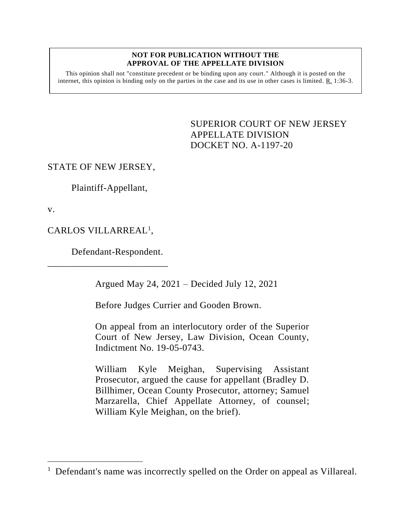## **NOT FOR PUBLICATION WITHOUT THE APPROVAL OF THE APPELLATE DIVISION**

This opinion shall not "constitute precedent or be binding upon any court." Although it is posted on the internet, this opinion is binding only on the parties in the case and its use in other cases is limited. R. 1:36-3.

> <span id="page-0-0"></span>SUPERIOR COURT OF NEW JERSEY APPELLATE DIVISION DOCKET NO. A-1197-20

## STATE OF NEW JERSEY,

Plaintiff-Appellant,

v.

CARLOS VILLARREAL<sup>1</sup>,

Defendant-Respondent.

\_\_\_\_\_\_\_\_\_\_\_\_\_\_\_\_\_\_\_\_\_\_\_\_\_

Argued May 24, 2021 – Decided July 12, 2021

Before Judges Currier and Gooden Brown.

On appeal from an interlocutory order of the Superior Court of New Jersey, Law Division, Ocean County, Indictment No. 19-05-0743.

William Kyle Meighan, Supervising Assistant Prosecutor, argued the cause for appellant (Bradley D. Billhimer, Ocean County Prosecutor, attorney; Samuel Marzarella, Chief Appellate Attorney, of counsel; William Kyle Meighan, on the brief).

<sup>&</sup>lt;sup>1</sup> Defendant's name was incorrectly spelled on the Order on appeal as Villareal.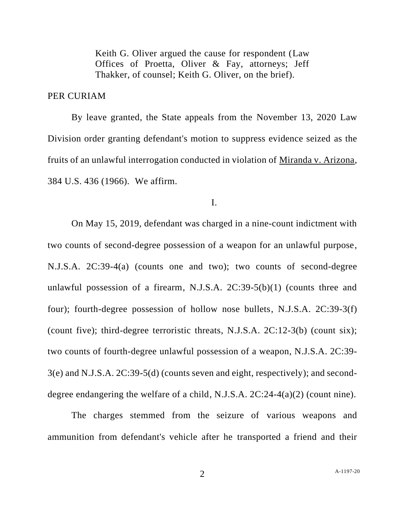Keith G. Oliver argued the cause for respondent (Law Offices of Proetta, Oliver & Fay, attorneys; Jeff Thakker, of counsel; Keith G. Oliver, on the brief).

## PER CURIAM

By leave granted, the State appeals from the November 13, 2020 Law Division order granting defendant's motion to suppress evidence seized as the fruits of an unlawful interrogation conducted in violation of Miranda v. Arizona, 384 U.S. 436 (1966). We affirm.

I.

On May 15, 2019, defendant was charged in a nine-count indictment with two counts of second-degree possession of a weapon for an unlawful purpose, N.J.S.A. 2C:39-4(a) (counts one and two); two counts of second-degree unlawful possession of a firearm, N.J.S.A. 2C:39-5(b)(1) (counts three and four); fourth-degree possession of hollow nose bullets, N.J.S.A. 2C:39-3(f) (count five); third-degree terroristic threats, N.J.S.A. 2C:12-3(b) (count six); two counts of fourth-degree unlawful possession of a weapon, N.J.S.A. 2C:39- 3(e) and N.J.S.A. 2C:39-5(d) (counts seven and eight, respectively); and seconddegree endangering the welfare of a child, N.J.S.A. 2C:24-4(a)(2) (count nine).

The charges stemmed from the seizure of various weapons and ammunition from defendant's vehicle after he transported a friend and their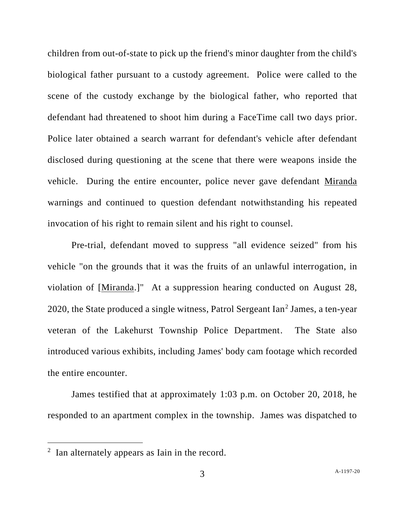children from out-of-state to pick up the friend's minor daughter from the child's biological father pursuant to a custody agreement. Police were called to the scene of the custody exchange by the biological father, who reported that defendant had threatened to shoot him during a FaceTime call two days prior. Police later obtained a search warrant for defendant's vehicle after defendant disclosed during questioning at the scene that there were weapons inside the vehicle. During the entire encounter, police never gave defendant Miranda warnings and continued to question defendant notwithstanding his repeated invocation of his right to remain silent and his right to counsel.

Pre-trial, defendant moved to suppress "all evidence seized" from his vehicle "on the grounds that it was the fruits of an unlawful interrogation, in violation of [Miranda.]" At a suppression hearing conducted on August 28, 2020, the State produced a single witness, Patrol Sergeant Ian<sup>2</sup> James, a ten-year veteran of the Lakehurst Township Police Department. The State also introduced various exhibits, including James' body cam footage which recorded the entire encounter.

James testified that at approximately 1:03 p.m. on October 20, 2018, he responded to an apartment complex in the township. James was dispatched to

 $2$  Ian alternately appears as Iain in the record.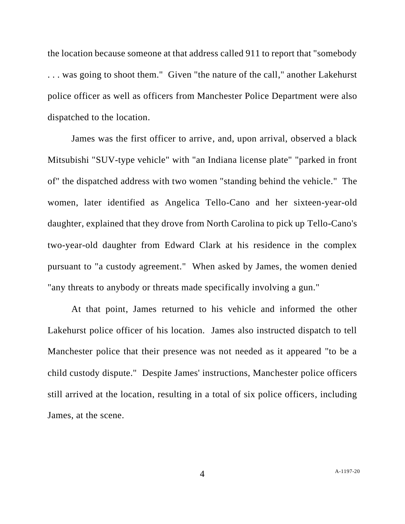the location because someone at that address called 911 to report that "somebody . . . was going to shoot them." Given "the nature of the call," another Lakehurst police officer as well as officers from Manchester Police Department were also dispatched to the location.

James was the first officer to arrive, and, upon arrival, observed a black Mitsubishi "SUV-type vehicle" with "an Indiana license plate" "parked in front of" the dispatched address with two women "standing behind the vehicle." The women, later identified as Angelica Tello-Cano and her sixteen-year-old daughter, explained that they drove from North Carolina to pick up Tello-Cano's two-year-old daughter from Edward Clark at his residence in the complex pursuant to "a custody agreement." When asked by James, the women denied "any threats to anybody or threats made specifically involving a gun."

At that point, James returned to his vehicle and informed the other Lakehurst police officer of his location. James also instructed dispatch to tell Manchester police that their presence was not needed as it appeared "to be a child custody dispute." Despite James' instructions, Manchester police officers still arrived at the location, resulting in a total of six police officers, including James, at the scene.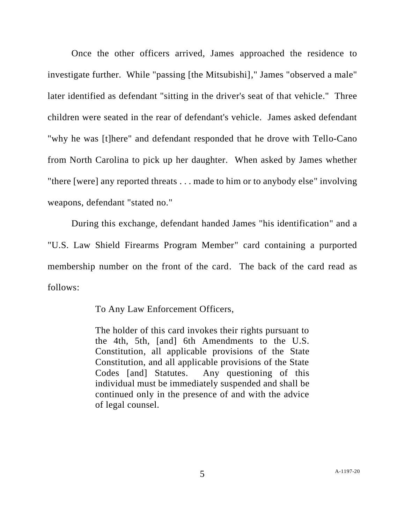Once the other officers arrived, James approached the residence to investigate further. While "passing [the Mitsubishi]," James "observed a male" later identified as defendant "sitting in the driver's seat of that vehicle." Three children were seated in the rear of defendant's vehicle. James asked defendant "why he was [t]here" and defendant responded that he drove with Tello-Cano from North Carolina to pick up her daughter. When asked by James whether "there [were] any reported threats . . . made to him or to anybody else" involving weapons, defendant "stated no."

During this exchange, defendant handed James "his identification" and a "U.S. Law Shield Firearms Program Member" card containing a purported membership number on the front of the card. The back of the card read as follows:

To Any Law Enforcement Officers,

The holder of this card invokes their rights pursuant to the 4th, 5th, [and] 6th Amendments to the U.S. Constitution, all applicable provisions of the State Constitution, and all applicable provisions of the State Codes [and] Statutes. Any questioning of this individual must be immediately suspended and shall be continued only in the presence of and with the advice of legal counsel.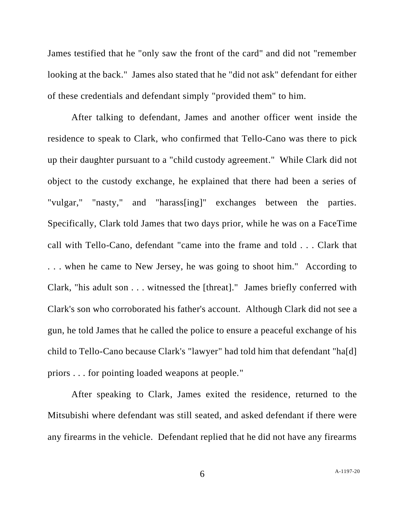James testified that he "only saw the front of the card" and did not "remember looking at the back." James also stated that he "did not ask" defendant for either of these credentials and defendant simply "provided them" to him.

After talking to defendant, James and another officer went inside the residence to speak to Clark, who confirmed that Tello-Cano was there to pick up their daughter pursuant to a "child custody agreement." While Clark did not object to the custody exchange, he explained that there had been a series of "vulgar," "nasty," and "harass[ing]" exchanges between the parties. Specifically, Clark told James that two days prior, while he was on a FaceTime call with Tello-Cano, defendant "came into the frame and told . . . Clark that . . . when he came to New Jersey, he was going to shoot him." According to Clark, "his adult son . . . witnessed the [threat]." James briefly conferred with Clark's son who corroborated his father's account. Although Clark did not see a gun, he told James that he called the police to ensure a peaceful exchange of his child to Tello-Cano because Clark's "lawyer" had told him that defendant "ha[d] priors . . . for pointing loaded weapons at people."

After speaking to Clark, James exited the residence, returned to the Mitsubishi where defendant was still seated, and asked defendant if there were any firearms in the vehicle. Defendant replied that he did not have any firearms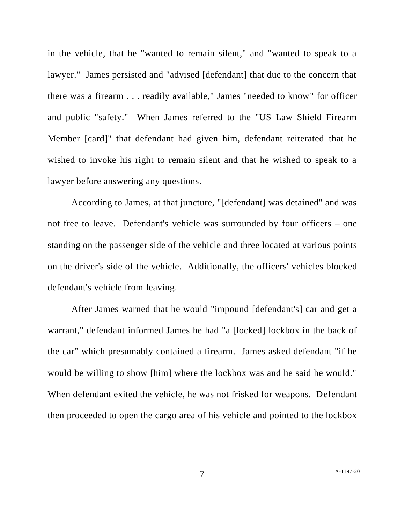in the vehicle, that he "wanted to remain silent," and "wanted to speak to a lawyer." James persisted and "advised [defendant] that due to the concern that there was a firearm . . . readily available," James "needed to know" for officer and public "safety." When James referred to the "US Law Shield Firearm Member [card]" that defendant had given him, defendant reiterated that he wished to invoke his right to remain silent and that he wished to speak to a lawyer before answering any questions.

According to James, at that juncture, "[defendant] was detained" and was not free to leave. Defendant's vehicle was surrounded by four officers – one standing on the passenger side of the vehicle and three located at various points on the driver's side of the vehicle. Additionally, the officers' vehicles blocked defendant's vehicle from leaving.

After James warned that he would "impound [defendant's] car and get a warrant," defendant informed James he had "a [locked] lockbox in the back of the car" which presumably contained a firearm. James asked defendant "if he would be willing to show [him] where the lockbox was and he said he would." When defendant exited the vehicle, he was not frisked for weapons. Defendant then proceeded to open the cargo area of his vehicle and pointed to the lockbox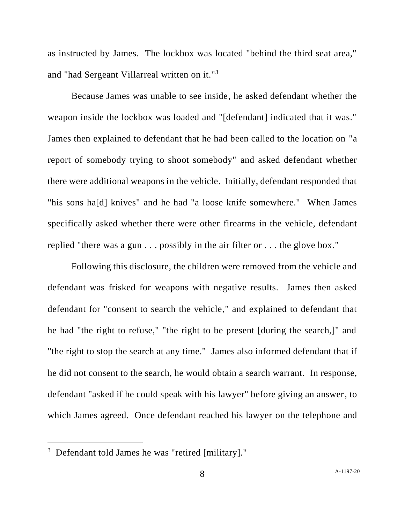as instructed by James. The lockbox was located "behind the third seat area," and "had Sergeant Villarreal written on it."<sup>3</sup>

Because James was unable to see inside, he asked defendant whether the weapon inside the lockbox was loaded and "[defendant] indicated that it was." James then explained to defendant that he had been called to the location on "a report of somebody trying to shoot somebody" and asked defendant whether there were additional weapons in the vehicle. Initially, defendant responded that "his sons ha[d] knives" and he had "a loose knife somewhere." When James specifically asked whether there were other firearms in the vehicle, defendant replied "there was a gun . . . possibly in the air filter or . . . the glove box."

Following this disclosure, the children were removed from the vehicle and defendant was frisked for weapons with negative results. James then asked defendant for "consent to search the vehicle," and explained to defendant that he had "the right to refuse," "the right to be present [during the search,]" and "the right to stop the search at any time." James also informed defendant that if he did not consent to the search, he would obtain a search warrant. In response, defendant "asked if he could speak with his lawyer" before giving an answer, to which James agreed. Once defendant reached his lawyer on the telephone and

<sup>&</sup>lt;sup>3</sup> Defendant told James he was "retired [military]."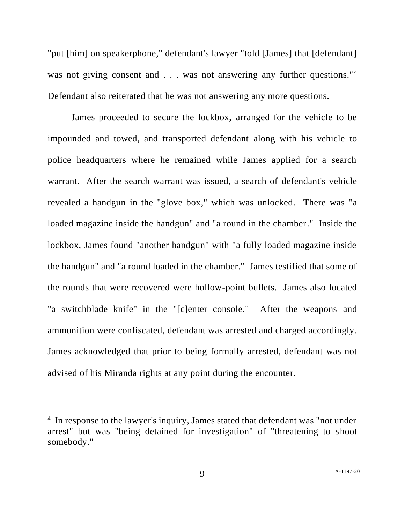"put [him] on speakerphone," defendant's lawyer "told [James] that [defendant] was not giving consent and  $\ldots$  was not answering any further questions."<sup>4</sup> Defendant also reiterated that he was not answering any more questions.

James proceeded to secure the lockbox, arranged for the vehicle to be impounded and towed, and transported defendant along with his vehicle to police headquarters where he remained while James applied for a search warrant. After the search warrant was issued, a search of defendant's vehicle revealed a handgun in the "glove box," which was unlocked. There was "a loaded magazine inside the handgun" and "a round in the chamber." Inside the lockbox, James found "another handgun" with "a fully loaded magazine inside the handgun" and "a round loaded in the chamber." James testified that some of the rounds that were recovered were hollow-point bullets. James also located "a switchblade knife" in the "[c]enter console." After the weapons and ammunition were confiscated, defendant was arrested and charged accordingly. James acknowledged that prior to being formally arrested, defendant was not advised of his Miranda rights at any point during the encounter.

<sup>&</sup>lt;sup>4</sup> In response to the lawyer's inquiry, James stated that defendant was "not under arrest" but was "being detained for investigation" of "threatening to shoot somebody."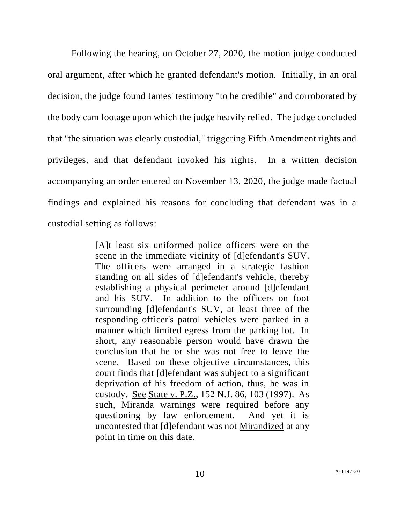Following the hearing, on October 27, 2020, the motion judge conducted oral argument, after which he granted defendant's motion. Initially, in an oral decision, the judge found James' testimony "to be credible" and corroborated by the body cam footage upon which the judge heavily relied. The judge concluded that "the situation was clearly custodial," triggering Fifth Amendment rights and privileges, and that defendant invoked his rights. In a written decision accompanying an order entered on November 13, 2020, the judge made factual findings and explained his reasons for concluding that defendant was in a custodial setting as follows:

> [A]t least six uniformed police officers were on the scene in the immediate vicinity of [d]efendant's SUV. The officers were arranged in a strategic fashion standing on all sides of [d]efendant's vehicle, thereby establishing a physical perimeter around [d]efendant and his SUV. In addition to the officers on foot surrounding [d]efendant's SUV, at least three of the responding officer's patrol vehicles were parked in a manner which limited egress from the parking lot. In short, any reasonable person would have drawn the conclusion that he or she was not free to leave the scene. Based on these objective circumstances, this court finds that [d]efendant was subject to a significant deprivation of his freedom of action, thus, he was in custody. See State v. P.Z., 152 N.J. 86, 103 (1997). As such, Miranda warnings were required before any questioning by law enforcement. And yet it is uncontested that [d]efendant was not Mirandized at any point in time on this date.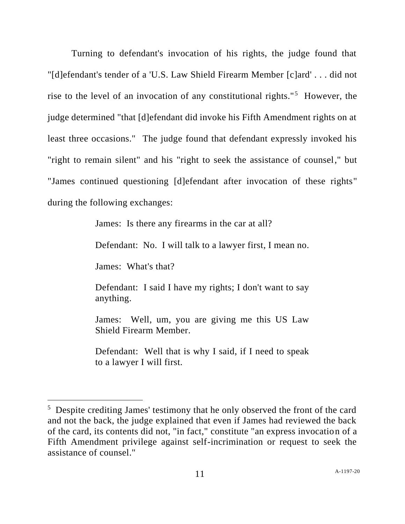Turning to defendant's invocation of his rights, the judge found that "[d]efendant's tender of a 'U.S. Law Shield Firearm Member [c]ard' . . . did not rise to the level of an invocation of any constitutional rights."<sup>5</sup> However, the judge determined "that [d]efendant did invoke his Fifth Amendment rights on at least three occasions." The judge found that defendant expressly invoked his "right to remain silent" and his "right to seek the assistance of counsel," but "James continued questioning [d]efendant after invocation of these rights" during the following exchanges:

James: Is there any firearms in the car at all?

Defendant: No. I will talk to a lawyer first, I mean no.

James: What's that?

Defendant: I said I have my rights; I don't want to say anything.

James: Well, um, you are giving me this US Law Shield Firearm Member.

Defendant: Well that is why I said, if I need to speak to a lawyer I will first.

<sup>&</sup>lt;sup>5</sup> Despite crediting James' testimony that he only observed the front of the card and not the back, the judge explained that even if James had reviewed the back of the card, its contents did not, "in fact," constitute "an express invocation of a Fifth Amendment privilege against self-incrimination or request to seek the assistance of counsel."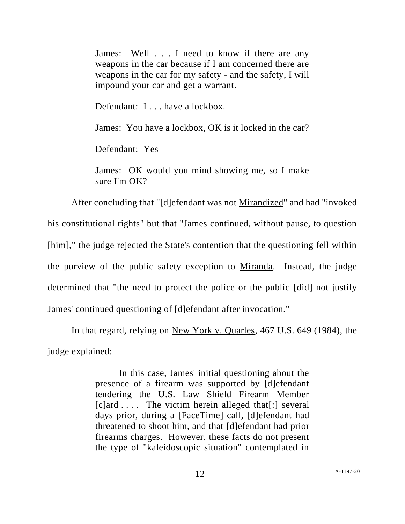James: Well . . . I need to know if there are any weapons in the car because if I am concerned there are weapons in the car for my safety - and the safety, I will impound your car and get a warrant.

Defendant: I . . . have a lockbox.

James: You have a lockbox, OK is it locked in the car?

Defendant: Yes

James: OK would you mind showing me, so I make sure I'm OK?

After concluding that "[d]efendant was not Mirandized" and had "invoked his constitutional rights" but that "James continued, without pause, to question [him]," the judge rejected the State's contention that the questioning fell within the purview of the public safety exception to Miranda. Instead, the judge determined that "the need to protect the police or the public [did] not justify James' continued questioning of [d]efendant after invocation."

In that regard, relying on New York v. Quarles, 467 U.S. 649 (1984), the judge explained:

> In this case, James' initial questioning about the presence of a firearm was supported by [d]efendant tendering the U.S. Law Shield Firearm Member  $[c]$ ard  $\ldots$ . The victim herein alleged that  $[:]$  several days prior, during a [FaceTime] call, [d]efendant had threatened to shoot him, and that [d]efendant had prior firearms charges. However, these facts do not present the type of "kaleidoscopic situation" contemplated in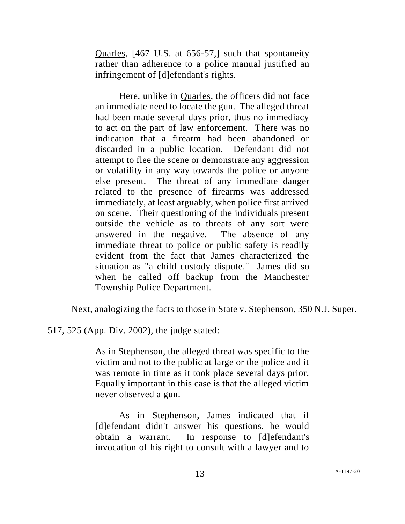Quarles, [467 U.S. at 656-57,] such that spontaneity rather than adherence to a police manual justified an infringement of [d]efendant's rights.

Here, unlike in Quarles, the officers did not face an immediate need to locate the gun. The alleged threat had been made several days prior, thus no immediacy to act on the part of law enforcement. There was no indication that a firearm had been abandoned or discarded in a public location. Defendant did not attempt to flee the scene or demonstrate any aggression or volatility in any way towards the police or anyone else present. The threat of any immediate danger related to the presence of firearms was addressed immediately, at least arguably, when police first arrived on scene. Their questioning of the individuals present outside the vehicle as to threats of any sort were answered in the negative. The absence of any immediate threat to police or public safety is readily evident from the fact that James characterized the situation as "a child custody dispute." James did so when he called off backup from the Manchester Township Police Department.

Next, analogizing the facts to those in State v. Stephenson, 350 N.J. Super.

517, 525 (App. Div. 2002), the judge stated:

As in Stephenson, the alleged threat was specific to the victim and not to the public at large or the police and it was remote in time as it took place several days prior. Equally important in this case is that the alleged victim never observed a gun.

As in Stephenson, James indicated that if [d]efendant didn't answer his questions, he would obtain a warrant. In response to [d]efendant's invocation of his right to consult with a lawyer and to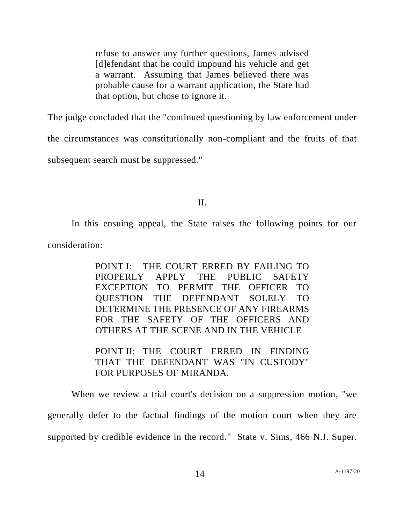refuse to answer any further questions, James advised [d]efendant that he could impound his vehicle and get a warrant. Assuming that James believed there was probable cause for a warrant application, the State had that option, but chose to ignore it.

The judge concluded that the "continued questioning by law enforcement under

the circumstances was constitutionally non-compliant and the fruits of that

subsequent search must be suppressed."

## II.

In this ensuing appeal, the State raises the following points for our

consideration:

POINT I: THE COURT ERRED BY FAILING TO PROPERLY APPLY THE PUBLIC SAFETY EXCEPTION TO PERMIT THE OFFICER TO QUESTION THE DEFENDANT SOLELY TO DETERMINE THE PRESENCE OF ANY FIREARMS FOR THE SAFETY OF THE OFFICERS AND OTHERS AT THE SCENE AND IN THE VEHICLE

POINT II: THE COURT ERRED IN FINDING THAT THE DEFENDANT WAS "IN CUSTODY" FOR PURPOSES OF MIRANDA.

When we review a trial court's decision on a suppression motion, "we generally defer to the factual findings of the motion court when they are supported by credible evidence in the record." State v. Sims, 466 N.J. Super.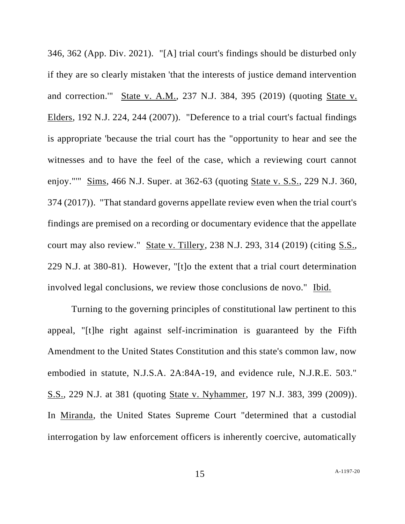346, 362 (App. Div. 2021). "[A] trial court's findings should be disturbed only if they are so clearly mistaken 'that the interests of justice demand intervention and correction.'" State v. A.M., 237 N.J. 384, 395 (2019) (quoting State v. Elders, 192 N.J. 224, 244 (2007)). "Deference to a trial court's factual findings is appropriate 'because the trial court has the "opportunity to hear and see the witnesses and to have the feel of the case, which a reviewing court cannot enjoy."'" Sims, 466 N.J. Super. at 362-63 (quoting State v. S.S., 229 N.J. 360, 374 (2017)). "That standard governs appellate review even when the trial court's findings are premised on a recording or documentary evidence that the appellate court may also review." State v. Tillery, 238 N.J. 293, 314 (2019) (citing S.S., 229 N.J. at 380-81). However, "[t]o the extent that a trial court determination involved legal conclusions, we review those conclusions de novo." Ibid.

Turning to the governing principles of constitutional law pertinent to this appeal, "[t]he right against self-incrimination is guaranteed by the Fifth Amendment to the United States Constitution and this state's common law, now embodied in statute, N.J.S.A. 2A:84A-19, and evidence rule, N.J.R.E. 503." S.S., 229 N.J. at 381 (quoting State v. Nyhammer, 197 N.J. 383, 399 (2009)). In Miranda, the United States Supreme Court "determined that a custodial interrogation by law enforcement officers is inherently coercive, automatically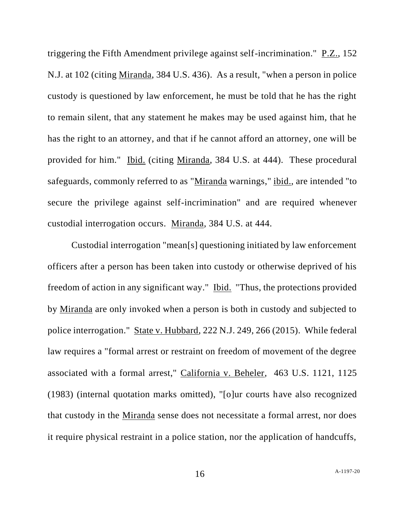triggering the Fifth Amendment privilege against self-incrimination." P.Z., 152 N.J. at 102 (citing Miranda, 384 U.S. 436). As a result, "when a person in police custody is questioned by law enforcement, he must be told that he has the right to remain silent, that any statement he makes may be used against him, that he has the right to an attorney, and that if he cannot afford an attorney, one will be provided for him." Ibid. (citing Miranda, 384 U.S. at 444). These procedural safeguards, commonly referred to as "Miranda warnings," ibid., are intended "to secure the privilege against self-incrimination" and are required whenever custodial interrogation occurs. Miranda, 384 U.S. at 444.

Custodial interrogation "mean[s] questioning initiated by law enforcement officers after a person has been taken into custody or otherwise deprived of his freedom of action in any significant way." Ibid. "Thus, the protections provided by Miranda are only invoked when a person is both in custody and subjected to police interrogation." State v. Hubbard, 222 N.J. 249, 266 (2015). While federal law requires a "formal arrest or restraint on freedom of movement of the degree associated with a formal arrest," California v. Beheler, 463 U.S. 1121, 1125 (1983) (internal quotation marks omitted), "[o]ur courts have also recognized that custody in the Miranda sense does not necessitate a formal arrest, nor does it require physical restraint in a police station, nor the application of handcuffs,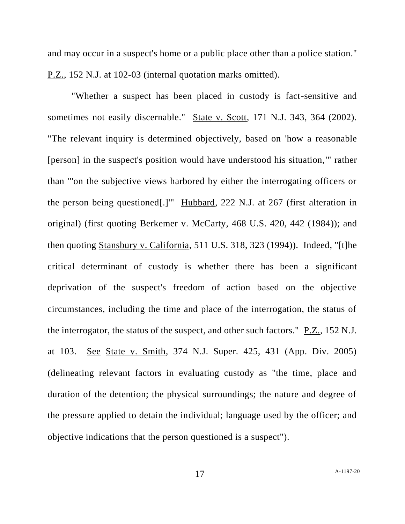and may occur in a suspect's home or a public place other than a police station." P.Z., 152 N.J. at 102-03 (internal quotation marks omitted).

"Whether a suspect has been placed in custody is fact-sensitive and sometimes not easily discernable." State v. Scott, 171 N.J. 343, 364 (2002). "The relevant inquiry is determined objectively, based on 'how a reasonable [person] in the suspect's position would have understood his situation,'" rather than "'on the subjective views harbored by either the interrogating officers or the person being questioned[.]'" Hubbard, 222 N.J. at 267 (first alteration in original) (first quoting Berkemer v. McCarty, 468 U.S. 420, 442 (1984)); and then quoting Stansbury v. California, 511 U.S. 318, 323 (1994)). Indeed, "[t]he critical determinant of custody is whether there has been a significant deprivation of the suspect's freedom of action based on the objective circumstances, including the time and place of the interrogation, the status of the interrogator, the status of the suspect, and other such factors." P.Z., 152 N.J. at 103. See State v. Smith, 374 N.J. Super. 425, 431 (App. Div. 2005) (delineating relevant factors in evaluating custody as "the time, place and duration of the detention; the physical surroundings; the nature and degree of the pressure applied to detain the individual; language used by the officer; and objective indications that the person questioned is a suspect").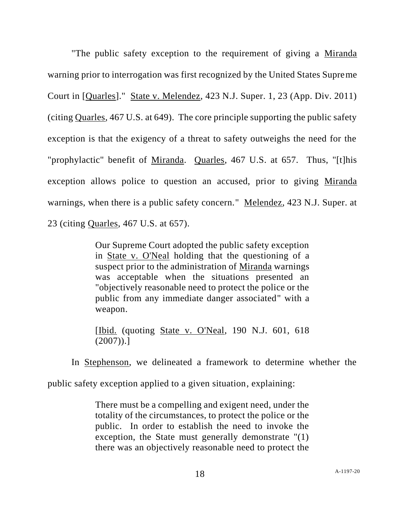"The public safety exception to the requirement of giving a Miranda warning prior to interrogation was first recognized by the United States Supreme Court in [Quarles]." State v. Melendez, 423 N.J. Super. 1, 23 (App. Div. 2011) (citing Quarles, 467 U.S. at 649). The core principle supporting the public safety exception is that the exigency of a threat to safety outweighs the need for the "prophylactic" benefit of Miranda. Quarles, 467 U.S. at 657. Thus, "[t]his exception allows police to question an accused, prior to giving Miranda warnings, when there is a public safety concern." Melendez, 423 N.J. Super. at 23 (citing Quarles, 467 U.S. at 657).

> Our Supreme Court adopted the public safety exception in State v. O'Neal holding that the questioning of a suspect prior to the administration of Miranda warnings was acceptable when the situations presented an "objectively reasonable need to protect the police or the public from any immediate danger associated" with a weapon.

> [Ibid. (quoting State v. O'Neal, 190 N.J. 601, 618  $(2007)$ ).]

In Stephenson, we delineated a framework to determine whether the

public safety exception applied to a given situation, explaining:

There must be a compelling and exigent need, under the totality of the circumstances, to protect the police or the public. In order to establish the need to invoke the exception, the State must generally demonstrate "(1) there was an objectively reasonable need to protect the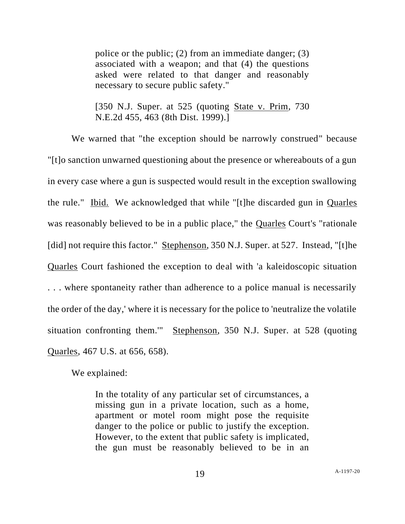police or the public; (2) from an immediate danger; (3) associated with a weapon; and that (4) the questions asked were related to that danger and reasonably necessary to secure public safety."

[350 N.J. Super. at 525 (quoting State v. Prim, 730 N.E.2d 455, 463 (8th Dist. 1999).]

We warned that "the exception should be narrowly construed" because "[t]o sanction unwarned questioning about the presence or whereabouts of a gun in every case where a gun is suspected would result in the exception swallowing the rule." Ibid. We acknowledged that while "[t]he discarded gun in Quarles was reasonably believed to be in a public place," the Quarles Court's "rationale [did] not require this factor." Stephenson, 350 N.J. Super. at 527. Instead, "[t]he Quarles Court fashioned the exception to deal with 'a kaleidoscopic situation . . . where spontaneity rather than adherence to a police manual is necessarily the order of the day,' where it is necessary for the police to 'neutralize the volatile situation confronting them.'" Stephenson, 350 N.J. Super. at 528 (quoting Quarles, 467 U.S. at 656, 658).

We explained:

In the totality of any particular set of circumstances, a missing gun in a private location, such as a home, apartment or motel room might pose the requisite danger to the police or public to justify the exception. However, to the extent that public safety is implicated, the gun must be reasonably believed to be in an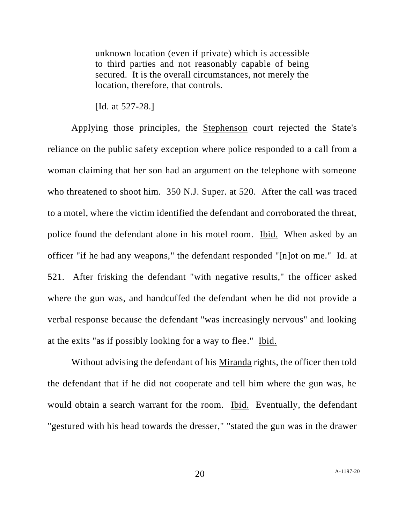unknown location (even if private) which is accessible to third parties and not reasonably capable of being secured. It is the overall circumstances, not merely the location, therefore, that controls.

[Id. at 527-28.]

Applying those principles, the Stephenson court rejected the State's reliance on the public safety exception where police responded to a call from a woman claiming that her son had an argument on the telephone with someone who threatened to shoot him. 350 N.J. Super. at 520. After the call was traced to a motel, where the victim identified the defendant and corroborated the threat, police found the defendant alone in his motel room. Ibid. When asked by an officer "if he had any weapons," the defendant responded "[n]ot on me." Id. at 521. After frisking the defendant "with negative results," the officer asked where the gun was, and handcuffed the defendant when he did not provide a verbal response because the defendant "was increasingly nervous" and looking at the exits "as if possibly looking for a way to flee." Ibid.

Without advising the defendant of his Miranda rights, the officer then told the defendant that if he did not cooperate and tell him where the gun was, he would obtain a search warrant for the room. Ibid. Eventually, the defendant "gestured with his head towards the dresser," "stated the gun was in the drawer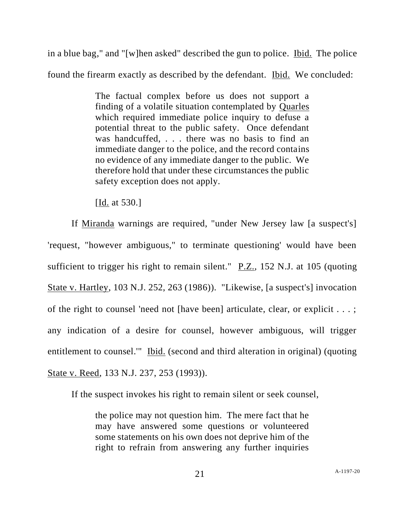in a blue bag," and "[w]hen asked" described the gun to police. Ibid. The police found the firearm exactly as described by the defendant. Ibid. We concluded:

> The factual complex before us does not support a finding of a volatile situation contemplated by Quarles which required immediate police inquiry to defuse a potential threat to the public safety. Once defendant was handcuffed, . . . there was no basis to find an immediate danger to the police, and the record contains no evidence of any immediate danger to the public. We therefore hold that under these circumstances the public safety exception does not apply.

[Id. at 530.]

If Miranda warnings are required, "under New Jersey law [a suspect's] 'request, "however ambiguous," to terminate questioning' would have been sufficient to trigger his right to remain silent."  $P.Z.,$  152 N.J. at 105 (quoting State v. Hartley, 103 N.J. 252, 263 (1986)). "Likewise, [a suspect's] invocation of the right to counsel 'need not [have been] articulate, clear, or explicit . . . ; any indication of a desire for counsel, however ambiguous, will trigger entitlement to counsel." Ibid. (second and third alteration in original) (quoting State v. Reed, 133 N.J. 237, 253 (1993)).

If the suspect invokes his right to remain silent or seek counsel,

the police may not question him. The mere fact that he may have answered some questions or volunteered some statements on his own does not deprive him of the right to refrain from answering any further inquiries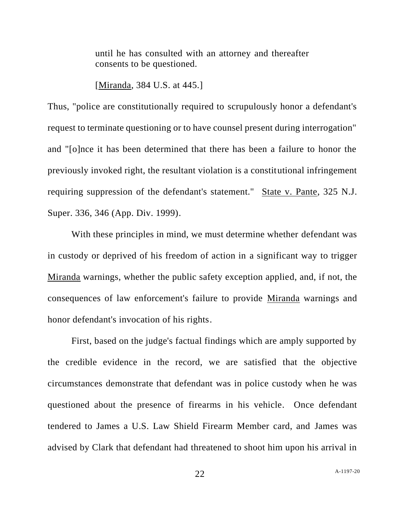until he has consulted with an attorney and thereafter consents to be questioned.

[Miranda, 384 U.S. at 445.]

Thus, "police are constitutionally required to scrupulously honor a defendant's request to terminate questioning or to have counsel present during interrogation" and "[o]nce it has been determined that there has been a failure to honor the previously invoked right, the resultant violation is a constitutional infringement requiring suppression of the defendant's statement." State v. Pante, 325 N.J. Super. 336, 346 (App. Div. 1999).

With these principles in mind, we must determine whether defendant was in custody or deprived of his freedom of action in a significant way to trigger Miranda warnings, whether the public safety exception applied, and, if not, the consequences of law enforcement's failure to provide Miranda warnings and honor defendant's invocation of his rights.

First, based on the judge's factual findings which are amply supported by the credible evidence in the record, we are satisfied that the objective circumstances demonstrate that defendant was in police custody when he was questioned about the presence of firearms in his vehicle. Once defendant tendered to James a U.S. Law Shield Firearm Member card, and James was advised by Clark that defendant had threatened to shoot him upon his arrival in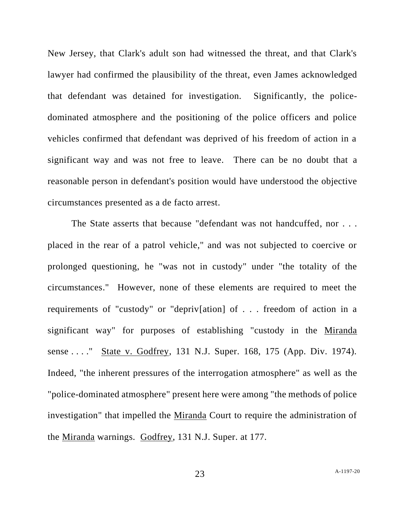New Jersey, that Clark's adult son had witnessed the threat, and that Clark's lawyer had confirmed the plausibility of the threat, even James acknowledged that defendant was detained for investigation. Significantly, the policedominated atmosphere and the positioning of the police officers and police vehicles confirmed that defendant was deprived of his freedom of action in a significant way and was not free to leave. There can be no doubt that a reasonable person in defendant's position would have understood the objective circumstances presented as a de facto arrest.

The State asserts that because "defendant was not handcuffed, nor . . . placed in the rear of a patrol vehicle," and was not subjected to coercive or prolonged questioning, he "was not in custody" under "the totality of the circumstances." However, none of these elements are required to meet the requirements of "custody" or "depriv[ation] of . . . freedom of action in a significant way" for purposes of establishing "custody in the Miranda sense . . . . " State v. Godfrey, 131 N.J. Super. 168, 175 (App. Div. 1974). Indeed, "the inherent pressures of the interrogation atmosphere" as well as the "police-dominated atmosphere" present here were among "the methods of police investigation" that impelled the Miranda Court to require the administration of the Miranda warnings. Godfrey, 131 N.J. Super. at 177.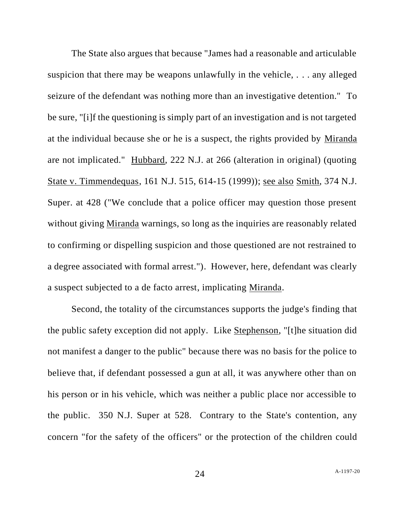The State also argues that because "James had a reasonable and articulable suspicion that there may be weapons unlawfully in the vehicle, . . . any alleged seizure of the defendant was nothing more than an investigative detention." To be sure, "[i]f the questioning is simply part of an investigation and is not targeted at the individual because she or he is a suspect, the rights provided by Miranda are not implicated." Hubbard, 222 N.J. at 266 (alteration in original) (quoting State v. Timmendequas, 161 N.J. 515, 614-15 (1999)); see also Smith, 374 N.J. Super. at 428 ("We conclude that a police officer may question those present without giving Miranda warnings, so long as the inquiries are reasonably related to confirming or dispelling suspicion and those questioned are not restrained to a degree associated with formal arrest."). However, here, defendant was clearly a suspect subjected to a de facto arrest, implicating Miranda.

Second, the totality of the circumstances supports the judge's finding that the public safety exception did not apply. Like Stephenson, "[t]he situation did not manifest a danger to the public" because there was no basis for the police to believe that, if defendant possessed a gun at all, it was anywhere other than on his person or in his vehicle, which was neither a public place nor accessible to the public. 350 N.J. Super at 528. Contrary to the State's contention, any concern "for the safety of the officers" or the protection of the children could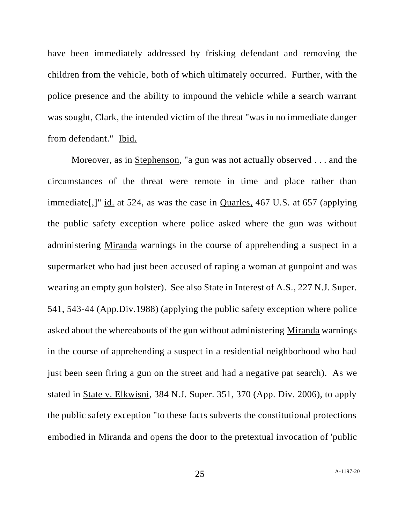have been immediately addressed by frisking defendant and removing the children from the vehicle, both of which ultimately occurred. Further, with the police presence and the ability to impound the vehicle while a search warrant was sought, Clark, the intended victim of the threat "was in no immediate danger from defendant." Ibid.

Moreover, as in Stephenson, "a gun was not actually observed . . . and the circumstances of the threat were remote in time and place rather than immediate[,]" id. at 524, as was the case in Quarles, 467 U.S. at 657 (applying the public safety exception where police asked where the gun was without administering Miranda warnings in the course of apprehending a suspect in a supermarket who had just been accused of raping a woman at gunpoint and was wearing an empty gun holster). See also State in Interest of A.S., 227 N.J. Super. 541, 543-44 (App.Div.1988) (applying the public safety exception where police asked about the whereabouts of the gun without administering Miranda warnings in the course of apprehending a suspect in a residential neighborhood who had just been seen firing a gun on the street and had a negative pat search). As we stated in State v. Elkwisni, 384 N.J. Super. 351, 370 (App. Div. 2006), to apply the public safety exception "to these facts subverts the constitutional protections embodied in Miranda and opens the door to the pretextual invocation of 'public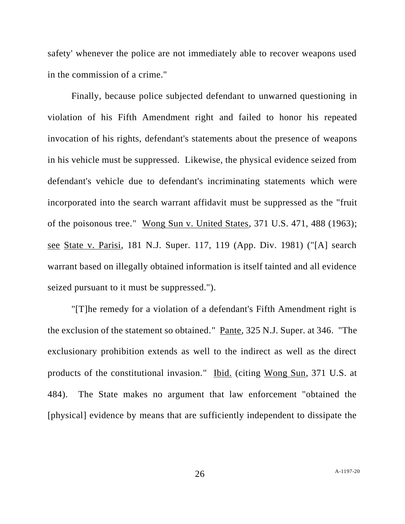safety' whenever the police are not immediately able to recover weapons used in the commission of a crime."

Finally, because police subjected defendant to unwarned questioning in violation of his Fifth Amendment right and failed to honor his repeated invocation of his rights, defendant's statements about the presence of weapons in his vehicle must be suppressed. Likewise, the physical evidence seized from defendant's vehicle due to defendant's incriminating statements which were incorporated into the search warrant affidavit must be suppressed as the "fruit of the poisonous tree." Wong Sun v. United States, 371 U.S. 471, 488 (1963); see State v. Parisi, 181 N.J. Super. 117, 119 (App. Div. 1981) ("[A] search warrant based on illegally obtained information is itself tainted and all evidence seized pursuant to it must be suppressed.").

"[T]he remedy for a violation of a defendant's Fifth Amendment right is the exclusion of the statement so obtained." Pante, 325 N.J. Super. at 346. "The exclusionary prohibition extends as well to the indirect as well as the direct products of the constitutional invasion." Ibid. (citing Wong Sun, 371 U.S. at 484). The State makes no argument that law enforcement "obtained the [physical] evidence by means that are sufficiently independent to dissipate the